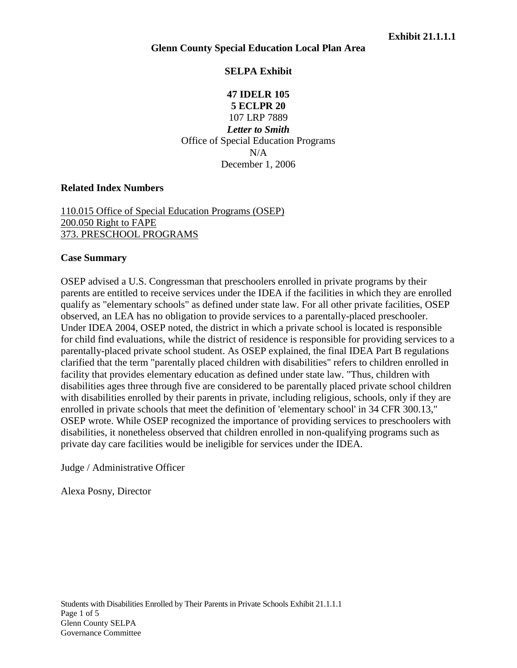# **SELPA Exhibit**

**47 IDELR 105 5 ECLPR 20** 107 LRP 7889 *Letter to Smith* Office of Special Education Programs  $N/A$ December 1, 2006

### **Related Index Numbers**

## [110.015 Office of Special Education Programs \(OSEP\)](http://www.specialedconnection.com/LrpSecStoryTool/Test/SECSearchAll?destination=index2.jsp%3Ftopic%3DMain%26results%3Dyes&searchscreen=decisionwrapper.jsp&searchstring=&db=cases&startdate=&enddate=&summaries=yes&thesaurus=yes&sortorder=newest&results=20&restrictors=indexref&indexref=110.015) [200.050 Right to FAPE](http://www.specialedconnection.com/LrpSecStoryTool/Test/SECSearchAll?destination=index2.jsp%3Ftopic%3DMain%26results%3Dyes&searchscreen=decisionwrapper.jsp&searchstring=&db=cases&startdate=&enddate=&summaries=yes&thesaurus=yes&sortorder=newest&results=20&restrictors=indexref&indexref=200.050) [373. PRESCHOOL PROGRAMS](http://www.specialedconnection.com/LrpSecStoryTool/Test/SECSearchAll?destination=index2.jsp%3Ftopic%3DMain%26results%3Dyes&searchscreen=decisionwrapper.jsp&searchstring=&db=cases&startdate=&enddate=&summaries=yes&thesaurus=yes&sortorder=newest&results=20&restrictors=indexref&indexref=373.)

#### **Case Summary**

OSEP advised a U.S. Congressman that preschoolers enrolled in private programs by their parents are entitled to receive services under the IDEA if the facilities in which they are enrolled qualify as "elementary schools" as defined under state law. For all other private facilities, OSEP observed, an LEA has no obligation to provide services to a parentally-placed preschooler. Under IDEA 2004, OSEP noted, the district in which a private school is located is responsible for child find evaluations, while the district of residence is responsible for providing services to a parentally-placed private school student. As OSEP explained, the final IDEA Part B regulations clarified that the term "parentally placed children with disabilities" refers to children enrolled in facility that provides elementary education as defined under state law. "Thus, children with disabilities ages three through five are considered to be parentally placed private school children with disabilities enrolled by their parents in private, including religious, schools, only if they are enrolled in private schools that meet the definition of 'elementary school' in 34 CFR 300.13," OSEP wrote. While OSEP recognized the importance of providing services to preschoolers with disabilities, it nonetheless observed that children enrolled in non-qualifying programs such as private day care facilities would be ineligible for services under the IDEA.

Judge / Administrative Officer

Alexa Posny, Director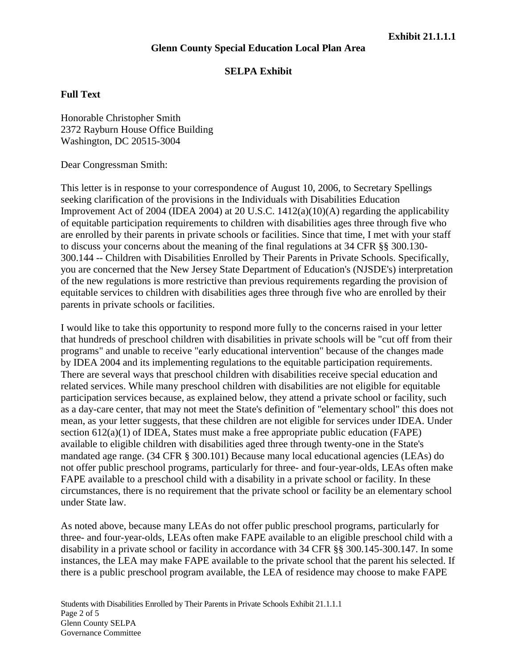# **SELPA Exhibit**

# **Full Text**

Honorable Christopher Smith 2372 Rayburn House Office Building Washington, DC 20515-3004

Dear Congressman Smith:

This letter is in response to your correspondence of August 10, 2006, to Secretary Spellings seeking clarification of the provisions in the Individuals with Disabilities Education Improvement Act of 2004 (IDEA 2004) at 20 U.S.C. 1412(a)(10)(A) regarding the applicability of equitable participation requirements to children with disabilities ages three through five who are enrolled by their parents in private schools or facilities. Since that time, I met with your staff to discuss your concerns about the meaning of the final regulations at 34 CFR §§ 300.130- 300.144 -- Children with Disabilities Enrolled by Their Parents in Private Schools. Specifically, you are concerned that the New Jersey State Department of Education's (NJSDE's) interpretation of the new regulations is more restrictive than previous requirements regarding the provision of equitable services to children with disabilities ages three through five who are enrolled by their parents in private schools or facilities.

I would like to take this opportunity to respond more fully to the concerns raised in your letter that hundreds of preschool children with disabilities in private schools will be "cut off from their programs" and unable to receive "early educational intervention" because of the changes made by IDEA 2004 and its implementing regulations to the equitable participation requirements. There are several ways that preschool children with disabilities receive special education and related services. While many preschool children with disabilities are not eligible for equitable participation services because, as explained below, they attend a private school or facility, such as a day-care center, that may not meet the State's definition of "elementary school" this does not mean, as your letter suggests, that these children are not eligible for services under IDEA. Under section 612(a)(1) of IDEA, States must make a free appropriate public education (FAPE) available to eligible children with disabilities aged three through twenty-one in the State's mandated age range. (34 CFR § 300.101) Because many local educational agencies (LEAs) do not offer public preschool programs, particularly for three- and four-year-olds, LEAs often make FAPE available to a preschool child with a disability in a private school or facility. In these circumstances, there is no requirement that the private school or facility be an elementary school under State law.

As noted above, because many LEAs do not offer public preschool programs, particularly for three- and four-year-olds, LEAs often make FAPE available to an eligible preschool child with a disability in a private school or facility in accordance with 34 CFR §§ 300.145-300.147. In some instances, the LEA may make FAPE available to the private school that the parent his selected. If there is a public preschool program available, the LEA of residence may choose to make FAPE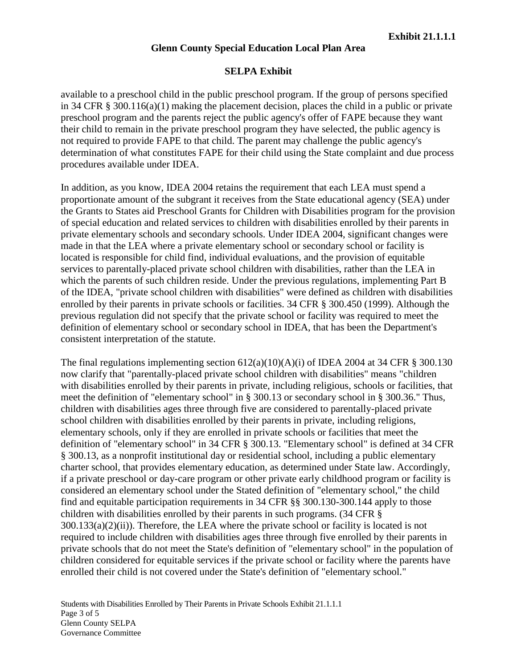### **Glenn County Special Education Local Plan Area**

### **SELPA Exhibit**

available to a preschool child in the public preschool program. If the group of persons specified in 34 CFR § 300.116(a)(1) making the placement decision, places the child in a public or private preschool program and the parents reject the public agency's offer of FAPE because they want their child to remain in the private preschool program they have selected, the public agency is not required to provide FAPE to that child. The parent may challenge the public agency's determination of what constitutes FAPE for their child using the State complaint and due process procedures available under IDEA.

In addition, as you know, IDEA 2004 retains the requirement that each LEA must spend a proportionate amount of the subgrant it receives from the State educational agency (SEA) under the Grants to States aid Preschool Grants for Children with Disabilities program for the provision of special education and related services to children with disabilities enrolled by their parents in private elementary schools and secondary schools. Under IDEA 2004, significant changes were made in that the LEA where a private elementary school or secondary school or facility is located is responsible for child find, individual evaluations, and the provision of equitable services to parentally-placed private school children with disabilities, rather than the LEA in which the parents of such children reside. Under the previous regulations, implementing Part B of the IDEA, "private school children with disabilities" were defined as children with disabilities enrolled by their parents in private schools or facilities. 34 CFR § 300.450 (1999). Although the previous regulation did not specify that the private school or facility was required to meet the definition of elementary school or secondary school in IDEA, that has been the Department's consistent interpretation of the statute.

The final regulations implementing section  $612(a)(10)(A)(i)$  of IDEA 2004 at 34 CFR § 300.130 now clarify that "parentally-placed private school children with disabilities" means "children with disabilities enrolled by their parents in private, including religious, schools or facilities, that meet the definition of "elementary school" in § 300.13 or secondary school in § 300.36." Thus, children with disabilities ages three through five are considered to parentally-placed private school children with disabilities enrolled by their parents in private, including religions, elementary schools, only if they are enrolled in private schools or facilities that meet the definition of "elementary school" in 34 CFR § 300.13. "Elementary school" is defined at 34 CFR § 300.13, as a nonprofit institutional day or residential school, including a public elementary charter school, that provides elementary education, as determined under State law. Accordingly, if a private preschool or day-care program or other private early childhood program or facility is considered an elementary school under the Stated definition of "elementary school," the child find and equitable participation requirements in 34 CFR §§ 300.130-300.144 apply to those children with disabilities enrolled by their parents in such programs. (34 CFR § 300.133(a)(2)(ii)). Therefore, the LEA where the private school or facility is located is not required to include children with disabilities ages three through five enrolled by their parents in private schools that do not meet the State's definition of "elementary school" in the population of children considered for equitable services if the private school or facility where the parents have enrolled their child is not covered under the State's definition of "elementary school."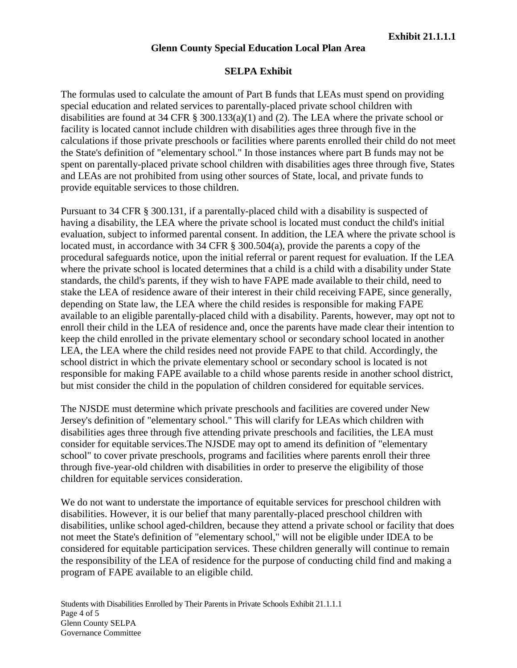## **Glenn County Special Education Local Plan Area**

### **SELPA Exhibit**

The formulas used to calculate the amount of Part B funds that LEAs must spend on providing special education and related services to parentally-placed private school children with disabilities are found at 34 CFR § 300.133(a)(1) and (2). The LEA where the private school or facility is located cannot include children with disabilities ages three through five in the calculations if those private preschools or facilities where parents enrolled their child do not meet the State's definition of "elementary school." In those instances where part B funds may not be spent on parentally-placed private school children with disabilities ages three through five, States and LEAs are not prohibited from using other sources of State, local, and private funds to provide equitable services to those children.

Pursuant to 34 CFR § 300.131, if a parentally-placed child with a disability is suspected of having a disability, the LEA where the private school is located must conduct the child's initial evaluation, subject to informed parental consent. In addition, the LEA where the private school is located must, in accordance with 34 CFR § 300.504(a), provide the parents a copy of the procedural safeguards notice, upon the initial referral or parent request for evaluation. If the LEA where the private school is located determines that a child is a child with a disability under State standards, the child's parents, if they wish to have FAPE made available to their child, need to stake the LEA of residence aware of their interest in their child receiving FAPE, since generally, depending on State law, the LEA where the child resides is responsible for making FAPE available to an eligible parentally-placed child with a disability. Parents, however, may opt not to enroll their child in the LEA of residence and, once the parents have made clear their intention to keep the child enrolled in the private elementary school or secondary school located in another LEA, the LEA where the child resides need not provide FAPE to that child. Accordingly, the school district in which the private elementary school or secondary school is located is not responsible for making FAPE available to a child whose parents reside in another school district, but mist consider the child in the population of children considered for equitable services.

The NJSDE must determine which private preschools and facilities are covered under New Jersey's definition of "elementary school." This will clarify for LEAs which children with disabilities ages three through five attending private preschools and facilities, the LEA must consider for equitable services.The NJSDE may opt to amend its definition of "elementary school" to cover private preschools, programs and facilities where parents enroll their three through five-year-old children with disabilities in order to preserve the eligibility of those children for equitable services consideration.

We do not want to understate the importance of equitable services for preschool children with disabilities. However, it is our belief that many parentally-placed preschool children with disabilities, unlike school aged-children, because they attend a private school or facility that does not meet the State's definition of "elementary school," will not be eligible under IDEA to be considered for equitable participation services. These children generally will continue to remain the responsibility of the LEA of residence for the purpose of conducting child find and making a program of FAPE available to an eligible child.